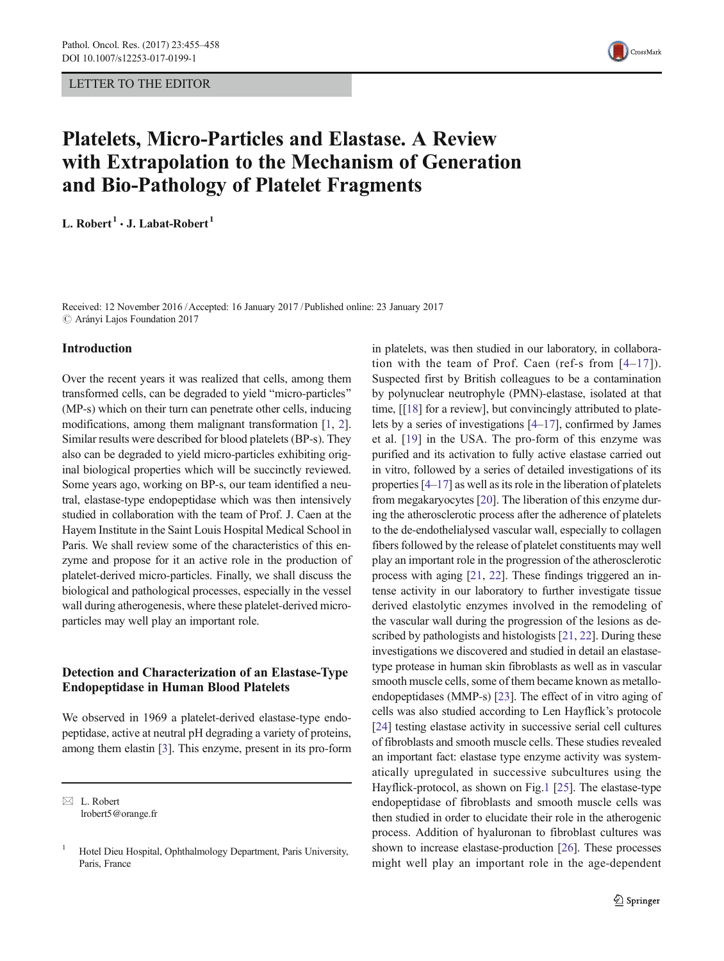LETTER TO THE EDITOR



# Platelets, Micro-Particles and Elastase. A Review with Extrapolation to the Mechanism of Generation and Bio-Pathology of Platelet Fragments

L. Robert<sup>1</sup>  $\cdot$  J. Labat-Robert<sup>1</sup>

Received: 12 November 2016 /Accepted: 16 January 2017 /Published online: 23 January 2017  $\odot$  Arányi Lajos Foundation 2017

### Introduction

Over the recent years it was realized that cells, among them transformed cells, can be degraded to yield "micro-particles" (MP-s) which on their turn can penetrate other cells, inducing modifications, among them malignant transformation [[1,](#page-2-0) [2\]](#page-2-0). Similar results were described for blood platelets (BP-s). They also can be degraded to yield micro-particles exhibiting original biological properties which will be succinctly reviewed. Some years ago, working on BP-s, our team identified a neutral, elastase-type endopeptidase which was then intensively studied in collaboration with the team of Prof. J. Caen at the Hayem Institute in the Saint Louis Hospital Medical School in Paris. We shall review some of the characteristics of this enzyme and propose for it an active role in the production of platelet-derived micro-particles. Finally, we shall discuss the biological and pathological processes, especially in the vessel wall during atherogenesis, where these platelet-derived microparticles may well play an important role.

## Detection and Characterization of an Elastase-Type Endopeptidase in Human Blood Platelets

We observed in 1969 a platelet-derived elastase-type endopeptidase, active at neutral pH degrading a variety of proteins, among them elastin [\[3](#page-2-0)]. This enzyme, present in its pro-form

 $\boxtimes$  L. Robert lrobert5@orange.fr in platelets, was then studied in our laboratory, in collaboration with the team of Prof. Caen (ref-s from [[4](#page-2-0)–[17\]](#page-2-0)). Suspected first by British colleagues to be a contamination by polynuclear neutrophyle (PMN)-elastase, isolated at that time, [[\[18](#page-2-0)] for a review], but convincingly attributed to platelets by a series of investigations [\[4](#page-2-0)–[17\]](#page-2-0), confirmed by James et al. [[19\]](#page-2-0) in the USA. The pro-form of this enzyme was purified and its activation to fully active elastase carried out in vitro, followed by a series of detailed investigations of its properties [[4](#page-2-0)–[17](#page-2-0)] as well as its role in the liberation of platelets from megakaryocytes [\[20](#page-2-0)]. The liberation of this enzyme during the atherosclerotic process after the adherence of platelets to the de-endothelialysed vascular wall, especially to collagen fibers followed by the release of platelet constituents may well play an important role in the progression of the atherosclerotic process with aging [\[21,](#page-2-0) [22](#page-2-0)]. These findings triggered an intense activity in our laboratory to further investigate tissue derived elastolytic enzymes involved in the remodeling of the vascular wall during the progression of the lesions as described by pathologists and histologists [[21](#page-2-0), [22\]](#page-2-0). During these investigations we discovered and studied in detail an elastasetype protease in human skin fibroblasts as well as in vascular smooth muscle cells, some of them became known as metalloendopeptidases (MMP-s) [[23\]](#page-2-0). The effect of in vitro aging of cells was also studied according to Len Hayflick's protocole [\[24](#page-2-0)] testing elastase activity in successive serial cell cultures of fibroblasts and smooth muscle cells. These studies revealed an important fact: elastase type enzyme activity was systematically upregulated in successive subcultures using the Hayflick-protocol, as shown on Fig.[1](#page-1-0) [\[25](#page-2-0)]. The elastase-type endopeptidase of fibroblasts and smooth muscle cells was then studied in order to elucidate their role in the atherogenic process. Addition of hyaluronan to fibroblast cultures was shown to increase elastase-production [\[26\]](#page-2-0). These processes might well play an important role in the age-dependent

<sup>1</sup> Hotel Dieu Hospital, Ophthalmology Department, Paris University, Paris, France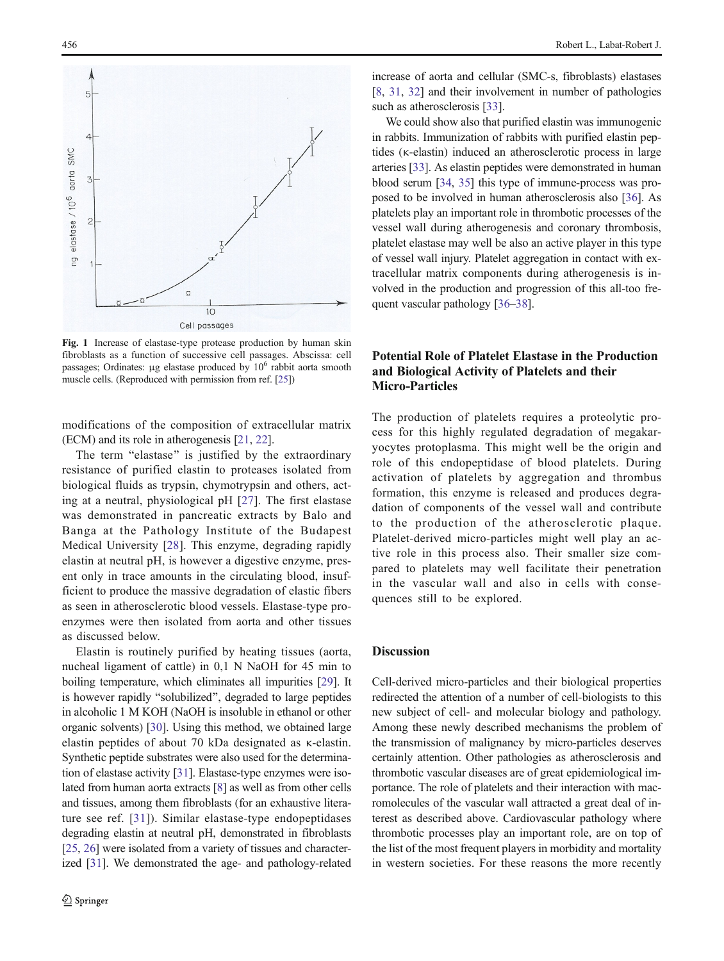<span id="page-1-0"></span>

Fig. 1 Increase of elastase-type protease production by human skin fibroblasts as a function of successive cell passages. Abscissa: cell passages; Ordinates:  $\mu$ g elastase produced by  $10^6$  rabbit aorta smooth muscle cells. (Reproduced with permission from ref. [[25](#page-2-0)])

modifications of the composition of extracellular matrix (ECM) and its role in atherogenesis [[21](#page-2-0), [22](#page-2-0)].

The term "elastase" is justified by the extraordinary resistance of purified elastin to proteases isolated from biological fluids as trypsin, chymotrypsin and others, acting at a neutral, physiological pH [[27](#page-2-0)]. The first elastase was demonstrated in pancreatic extracts by Balo and Banga at the Pathology Institute of the Budapest Medical University [\[28\]](#page-2-0). This enzyme, degrading rapidly elastin at neutral pH, is however a digestive enzyme, present only in trace amounts in the circulating blood, insufficient to produce the massive degradation of elastic fibers as seen in atherosclerotic blood vessels. Elastase-type proenzymes were then isolated from aorta and other tissues as discussed below.

Elastin is routinely purified by heating tissues (aorta, nucheal ligament of cattle) in 0,1 N NaOH for 45 min to boiling temperature, which eliminates all impurities [\[29](#page-2-0)]. It is however rapidly "solubilized", degraded to large peptides in alcoholic 1 M KOH (NaOH is insoluble in ethanol or other organic solvents) [[30](#page-2-0)]. Using this method, we obtained large elastin peptides of about 70 kDa designated as κ-elastin. Synthetic peptide substrates were also used for the determination of elastase activity [[31](#page-2-0)]. Elastase-type enzymes were isolated from human aorta extracts [[8](#page-2-0)] as well as from other cells and tissues, among them fibroblasts (for an exhaustive literature see ref. [[31](#page-2-0)]). Similar elastase-type endopeptidases degrading elastin at neutral pH, demonstrated in fibroblasts [\[25,](#page-2-0) [26\]](#page-2-0) were isolated from a variety of tissues and characterized [\[31\]](#page-2-0). We demonstrated the age- and pathology-related increase of aorta and cellular (SMC-s, fibroblasts) elastases [\[8](#page-2-0), [31,](#page-2-0) [32\]](#page-2-0) and their involvement in number of pathologies such as atherosclerosis [\[33\]](#page-2-0).

We could show also that purified elastin was immunogenic in rabbits. Immunization of rabbits with purified elastin peptides (κ-elastin) induced an atherosclerotic process in large arteries [[33](#page-2-0)]. As elastin peptides were demonstrated in human blood serum [[34,](#page-3-0) [35](#page-3-0)] this type of immune-process was proposed to be involved in human atherosclerosis also [[36\]](#page-3-0). As platelets play an important role in thrombotic processes of the vessel wall during atherogenesis and coronary thrombosis, platelet elastase may well be also an active player in this type of vessel wall injury. Platelet aggregation in contact with extracellular matrix components during atherogenesis is involved in the production and progression of this all-too frequent vascular pathology [[36](#page-3-0)–[38](#page-3-0)].

# Potential Role of Platelet Elastase in the Production and Biological Activity of Platelets and their Micro-Particles

The production of platelets requires a proteolytic process for this highly regulated degradation of megakaryocytes protoplasma. This might well be the origin and role of this endopeptidase of blood platelets. During activation of platelets by aggregation and thrombus formation, this enzyme is released and produces degradation of components of the vessel wall and contribute to the production of the atherosclerotic plaque. Platelet-derived micro-particles might well play an active role in this process also. Their smaller size compared to platelets may well facilitate their penetration in the vascular wall and also in cells with consequences still to be explored.

## Discussion

Cell-derived micro-particles and their biological properties redirected the attention of a number of cell-biologists to this new subject of cell- and molecular biology and pathology. Among these newly described mechanisms the problem of the transmission of malignancy by micro-particles deserves certainly attention. Other pathologies as atherosclerosis and thrombotic vascular diseases are of great epidemiological importance. The role of platelets and their interaction with macromolecules of the vascular wall attracted a great deal of interest as described above. Cardiovascular pathology where thrombotic processes play an important role, are on top of the list of the most frequent players in morbidity and mortality in western societies. For these reasons the more recently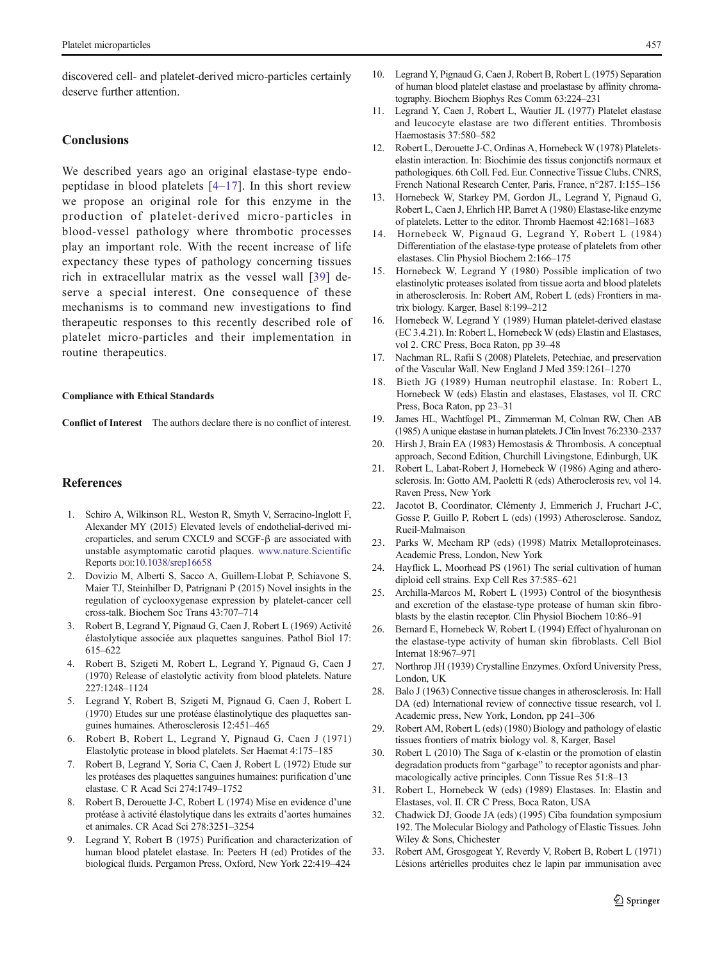<span id="page-2-0"></span>discovered cell- and platelet-derived micro-particles certainly deserve further attention.

#### **Conclusions**

We described years ago an original elastase-type endopeptidase in blood platelets [4–17]. In this short review we propose an original role for this enzyme in the production of platelet-derived micro-particles in blood-vessel pathology where thrombotic processes play an important role. With the recent increase of life expectancy these types of pathology concerning tissues rich in extracellular matrix as the vessel wall [[39](#page-3-0)] deserve a special interest. One consequence of these mechanisms is to command new investigations to find therapeutic responses to this recently described role of platelet micro-particles and their implementation in routine therapeutics.

#### Compliance with Ethical Standards

Conflict of Interest The authors declare there is no conflict of interest.

#### **References**

- 1. Schiro A, Wilkinson RL, Weston R, Smyth V, Serracino-Inglott F, Alexander MY (2015) Elevated levels of endothelial-derived microparticles, and serum CXCL9 and SCGF-β are associated with unstable asymptomatic carotid plaques. [www.nature.Scientific](http://www.nature.Scientific) Reports DOI[:10.1038/srep16658](http://dx.doi.org/http://www.nature.scientific)
- 2. Dovizio M, Alberti S, Sacco A, Guillem-Llobat P, Schiavone S, Maier TJ, Steinhilber D, Patrignani P (2015) Novel insights in the regulation of cyclooxygenase expression by platelet-cancer cell cross-talk. Biochem Soc Trans 43:707–714
- 3. Robert B, Legrand Y, Pignaud G, Caen J, Robert L (1969) Activité élastolytique associée aux plaquettes sanguines. Pathol Biol 17: 615–622
- 4. Robert B, Szigeti M, Robert L, Legrand Y, Pignaud G, Caen J (1970) Release of elastolytic activity from blood platelets. Nature 227:1248–1124
- 5. Legrand Y, Robert B, Szigeti M, Pignaud G, Caen J, Robert L (1970) Etudes sur une protéase élastinolytique des plaquettes sanguines humaines. Atherosclerosis 12:451–465
- 6. Robert B, Robert L, Legrand Y, Pignaud G, Caen J (1971) Elastolytic protease in blood platelets. Ser Haemat 4:175–185
- 7. Robert B, Legrand Y, Soria C, Caen J, Robert L (1972) Etude sur les protéases des plaquettes sanguines humaines: purification d'une elastase. C R Acad Sci 274:1749–1752
- 8. Robert B, Derouette J-C, Robert L (1974) Mise en evidence d'une protéase à activité élastolytique dans les extraits d'aortes humaines et animales. CR Acad Sci 278:3251–3254
- Legrand Y, Robert B (1975) Purification and characterization of human blood platelet elastase. In: Peeters H (ed) Protides of the biological fluids. Pergamon Press, Oxford, New York 22:419–424
- 10. Legrand Y, Pignaud G, Caen J, Robert B, Robert L (1975) Separation of human blood platelet elastase and proelastase by affinity chromatography. Biochem Biophys Res Comm 63:224–231
- 11. Legrand Y, Caen J, Robert L, Wautier JL (1977) Platelet elastase and leucocyte elastase are two different entities. Thrombosis Haemostasis 37:580–582
- 12. Robert L, Derouette J-C, Ordinas A, Hornebeck W (1978) Plateletselastin interaction. In: Biochimie des tissus conjonctifs normaux et pathologiques. 6th Coll. Fed. Eur. Connective Tissue Clubs. CNRS, French National Research Center, Paris, France, n°287. I:155–156
- 13. Hornebeck W, Starkey PM, Gordon JL, Legrand Y, Pignaud G, Robert L, Caen J, Ehrlich HP, Barret A (1980) Elastase-like enzyme of platelets. Letter to the editor. Thromb Haemost 42:1681–1683
- 14. Hornebeck W, Pignaud G, Legrand Y, Robert L (1984) Differentiation of the elastase-type protease of platelets from other elastases. Clin Physiol Biochem 2:166–175
- 15. Hornebeck W, Legrand Y (1980) Possible implication of two elastinolytic proteases isolated from tissue aorta and blood platelets in atherosclerosis. In: Robert AM, Robert L (eds) Frontiers in matrix biology. Karger, Basel 8:199–212
- 16. Hornebeck W, Legrand Y (1989) Human platelet-derived elastase (EC 3.4.21). In: Robert L, Hornebeck W (eds) Elastin and Elastases, vol 2. CRC Press, Boca Raton, pp 39–48
- 17. Nachman RL, Rafii S (2008) Platelets, Petechiae, and preservation of the Vascular Wall. New England J Med 359:1261–1270
- 18. Bieth JG (1989) Human neutrophil elastase. In: Robert L, Hornebeck W (eds) Elastin and elastases, Elastases, vol II. CRC Press, Boca Raton, pp 23–31
- 19. James HL, Wachtfogel PL, Zimmerman M, Colman RW, Chen AB (1985) A unique elastase in human platelets. J Clin Invest 76:2330–2337
- 20. Hirsh J, Brain EA (1983) Hemostasis & Thrombosis. A conceptual approach, Second Edition, Churchill Livingstone, Edinburgh, UK
- 21. Robert L, Labat-Robert J, Hornebeck W (1986) Aging and atherosclerosis. In: Gotto AM, Paoletti R (eds) Atheroclerosis rev, vol 14. Raven Press, New York
- 22. Jacotot B, Coordinator, Clémenty J, Emmerich J, Fruchart J-C, Gosse P, Guillo P, Robert L (eds) (1993) Atherosclerose. Sandoz, Rueil-Malmaison
- 23. Parks W, Mecham RP (eds) (1998) Matrix Metalloproteinases. Academic Press, London, New York
- 24. Hayflick L, Moorhead PS (1961) The serial cultivation of human diploid cell strains. Exp Cell Res 37:585–621
- 25. Archilla-Marcos M, Robert L (1993) Control of the biosynthesis and excretion of the elastase-type protease of human skin fibroblasts by the elastin receptor. Clin Physiol Biochem 10:86–91
- 26. Bernard E, Hornebeck W, Robert L (1994) Effect of hyaluronan on the elastase-type activity of human skin fibroblasts. Cell Biol Internat 18:967–971
- 27. Northrop JH (1939) Crystalline Enzymes. Oxford University Press, London, UK
- 28. Balo J (1963) Connective tissue changes in atherosclerosis. In: Hall DA (ed) International review of connective tissue research, vol I. Academic press, New York, London, pp 241–306
- 29. Robert AM, Robert L (eds) (1980) Biology and pathology of elastic tissues frontiers of matrix biology vol. 8, Karger, Basel
- 30. Robert L (2010) The Saga of κ-elastin or the promotion of elastin degradation products from "garbage" to receptor agonists and pharmacologically active principles. Conn Tissue Res 51:8–13
- 31. Robert L, Hornebeck W (eds) (1989) Elastases. In: Elastin and Elastases, vol. II. CR C Press, Boca Raton, USA
- 32. Chadwick DJ, Goode JA (eds) (1995) Ciba foundation symposium 192. The Molecular Biology and Pathology of Elastic Tissues. John Wiley & Sons, Chichester
- 33. Robert AM, Grosgogeat Y, Reverdy V, Robert B, Robert L (1971) Lésions artérielles produites chez le lapin par immunisation avec